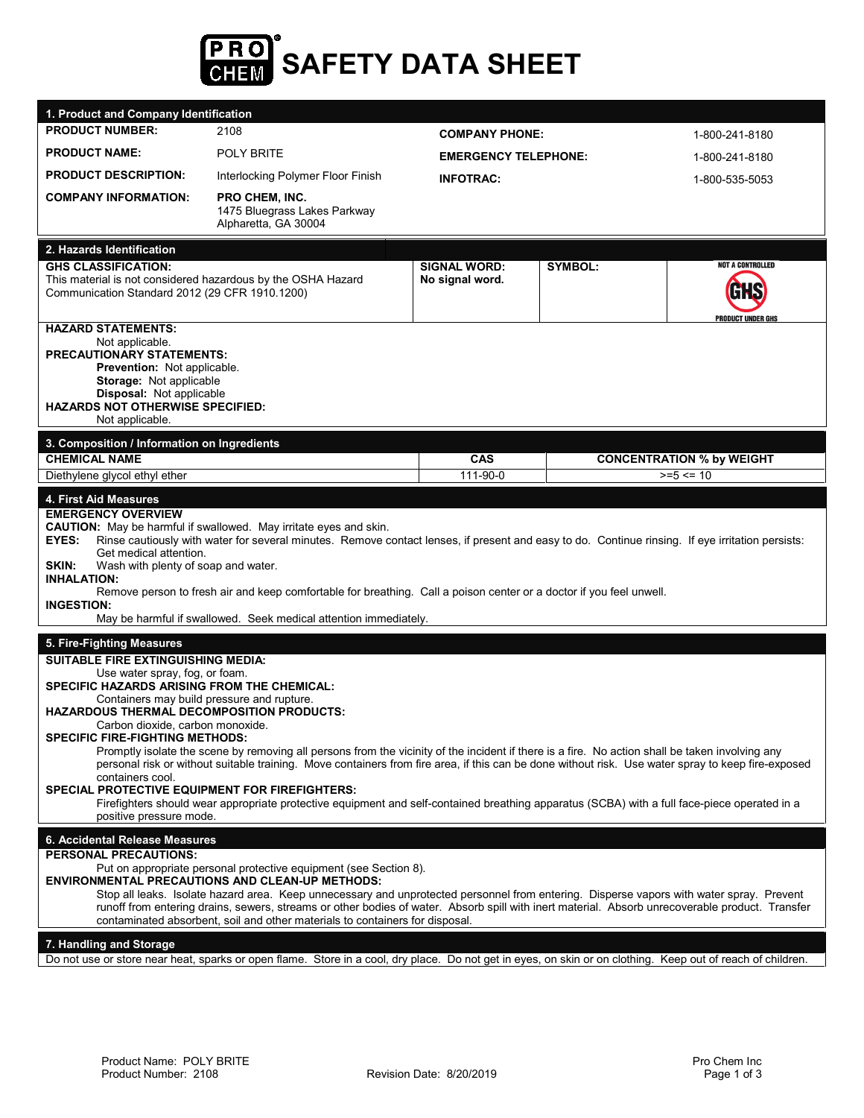

| 1. Product and Company Identification                                                                                                                                                                                                                                                                                                                                                                                                                                                                                                                                                                                                                                                                                                                                                                                                                                       |                                                                                                                                                                                                                                                                                                                                                                                                                                                                                                            |                                        |                |                                                     |  |
|-----------------------------------------------------------------------------------------------------------------------------------------------------------------------------------------------------------------------------------------------------------------------------------------------------------------------------------------------------------------------------------------------------------------------------------------------------------------------------------------------------------------------------------------------------------------------------------------------------------------------------------------------------------------------------------------------------------------------------------------------------------------------------------------------------------------------------------------------------------------------------|------------------------------------------------------------------------------------------------------------------------------------------------------------------------------------------------------------------------------------------------------------------------------------------------------------------------------------------------------------------------------------------------------------------------------------------------------------------------------------------------------------|----------------------------------------|----------------|-----------------------------------------------------|--|
| <b>PRODUCT NUMBER:</b>                                                                                                                                                                                                                                                                                                                                                                                                                                                                                                                                                                                                                                                                                                                                                                                                                                                      | 2108                                                                                                                                                                                                                                                                                                                                                                                                                                                                                                       | <b>COMPANY PHONE:</b>                  |                | 1-800-241-8180                                      |  |
| <b>PRODUCT NAME:</b>                                                                                                                                                                                                                                                                                                                                                                                                                                                                                                                                                                                                                                                                                                                                                                                                                                                        | <b>POLY BRITE</b>                                                                                                                                                                                                                                                                                                                                                                                                                                                                                          | <b>EMERGENCY TELEPHONE:</b>            |                | 1-800-241-8180                                      |  |
| <b>PRODUCT DESCRIPTION:</b>                                                                                                                                                                                                                                                                                                                                                                                                                                                                                                                                                                                                                                                                                                                                                                                                                                                 | Interlocking Polymer Floor Finish                                                                                                                                                                                                                                                                                                                                                                                                                                                                          | <b>INFOTRAC:</b>                       |                | 1-800-535-5053                                      |  |
| <b>COMPANY INFORMATION:</b>                                                                                                                                                                                                                                                                                                                                                                                                                                                                                                                                                                                                                                                                                                                                                                                                                                                 | <b>PRO CHEM, INC.</b><br>1475 Bluegrass Lakes Parkway<br>Alpharetta, GA 30004                                                                                                                                                                                                                                                                                                                                                                                                                              |                                        |                |                                                     |  |
| 2. Hazards Identification                                                                                                                                                                                                                                                                                                                                                                                                                                                                                                                                                                                                                                                                                                                                                                                                                                                   |                                                                                                                                                                                                                                                                                                                                                                                                                                                                                                            |                                        |                |                                                     |  |
| <b>GHS CLASSIFICATION:</b><br>This material is not considered hazardous by the OSHA Hazard<br>Communication Standard 2012 (29 CFR 1910.1200)                                                                                                                                                                                                                                                                                                                                                                                                                                                                                                                                                                                                                                                                                                                                |                                                                                                                                                                                                                                                                                                                                                                                                                                                                                                            | <b>SIGNAL WORD:</b><br>No signal word. | <b>SYMBOL:</b> | <b>NOT A CONTROLLED</b><br><b>PRODUCT UNDER GHS</b> |  |
| <b>HAZARD STATEMENTS:</b><br>Not applicable.<br><b>PRECAUTIONARY STATEMENTS:</b><br>Prevention: Not applicable.<br>Storage: Not applicable<br><b>Disposal:</b> Not applicable<br><b>HAZARDS NOT OTHERWISE SPECIFIED:</b><br>Not applicable.                                                                                                                                                                                                                                                                                                                                                                                                                                                                                                                                                                                                                                 |                                                                                                                                                                                                                                                                                                                                                                                                                                                                                                            |                                        |                |                                                     |  |
| 3. Composition / Information on Ingredients<br><b>CHEMICAL NAME</b>                                                                                                                                                                                                                                                                                                                                                                                                                                                                                                                                                                                                                                                                                                                                                                                                         |                                                                                                                                                                                                                                                                                                                                                                                                                                                                                                            | CAS                                    |                | <b>CONCENTRATION % by WEIGHT</b>                    |  |
| Diethylene glycol ethyl ether                                                                                                                                                                                                                                                                                                                                                                                                                                                                                                                                                                                                                                                                                                                                                                                                                                               |                                                                                                                                                                                                                                                                                                                                                                                                                                                                                                            | 111-90-0                               |                | $>= 5 \le 10$                                       |  |
| <b>EMERGENCY OVERVIEW</b><br><b>CAUTION:</b> May be harmful if swallowed. May irritate eyes and skin.<br>Rinse cautiously with water for several minutes. Remove contact lenses, if present and easy to do. Continue rinsing. If eye irritation persists:<br><b>EYES:</b><br>Get medical attention.<br>SKIN:<br>Wash with plenty of soap and water.<br><b>INHALATION:</b><br>Remove person to fresh air and keep comfortable for breathing. Call a poison center or a doctor if you feel unwell.<br><b>INGESTION:</b><br>May be harmful if swallowed. Seek medical attention immediately.                                                                                                                                                                                                                                                                                   |                                                                                                                                                                                                                                                                                                                                                                                                                                                                                                            |                                        |                |                                                     |  |
| 5. Fire-Fighting Measures                                                                                                                                                                                                                                                                                                                                                                                                                                                                                                                                                                                                                                                                                                                                                                                                                                                   |                                                                                                                                                                                                                                                                                                                                                                                                                                                                                                            |                                        |                |                                                     |  |
| <b>SUITABLE FIRE EXTINGUISHING MEDIA:</b><br>Use water spray, fog, or foam.<br>SPECIFIC HAZARDS ARISING FROM THE CHEMICAL:<br>Containers may build pressure and rupture.<br><b>HAZARDOUS THERMAL DECOMPOSITION PRODUCTS:</b><br>Carbon dioxide, carbon monoxide.<br><b>SPECIFIC FIRE-FIGHTING METHODS:</b><br>Promptly isolate the scene by removing all persons from the vicinity of the incident if there is a fire. No action shall be taken involving any<br>personal risk or without suitable training. Move containers from fire area, if this can be done without risk. Use water spray to keep fire-exposed<br>containers cool.<br><b>SPECIAL PROTECTIVE EQUIPMENT FOR FIREFIGHTERS:</b><br>Firefighters should wear appropriate protective equipment and self-contained breathing apparatus (SCBA) with a full face-piece operated in a<br>positive pressure mode. |                                                                                                                                                                                                                                                                                                                                                                                                                                                                                                            |                                        |                |                                                     |  |
| 6. Accidental Release Measures                                                                                                                                                                                                                                                                                                                                                                                                                                                                                                                                                                                                                                                                                                                                                                                                                                              |                                                                                                                                                                                                                                                                                                                                                                                                                                                                                                            |                                        |                |                                                     |  |
| <b>PERSONAL PRECAUTIONS:</b>                                                                                                                                                                                                                                                                                                                                                                                                                                                                                                                                                                                                                                                                                                                                                                                                                                                | Put on appropriate personal protective equipment (see Section 8).<br><b>ENVIRONMENTAL PRECAUTIONS AND CLEAN-UP METHODS:</b><br>Stop all leaks. Isolate hazard area. Keep unnecessary and unprotected personnel from entering. Disperse vapors with water spray. Prevent<br>runoff from entering drains, sewers, streams or other bodies of water. Absorb spill with inert material. Absorb unrecoverable product. Transfer<br>contaminated absorbent, soil and other materials to containers for disposal. |                                        |                |                                                     |  |
| 7. Handling and Storage                                                                                                                                                                                                                                                                                                                                                                                                                                                                                                                                                                                                                                                                                                                                                                                                                                                     |                                                                                                                                                                                                                                                                                                                                                                                                                                                                                                            |                                        |                |                                                     |  |

Do not use or store near heat, sparks or open flame. Store in a cool, dry place. Do not get in eyes, on skin or on clothing. Keep out of reach of children.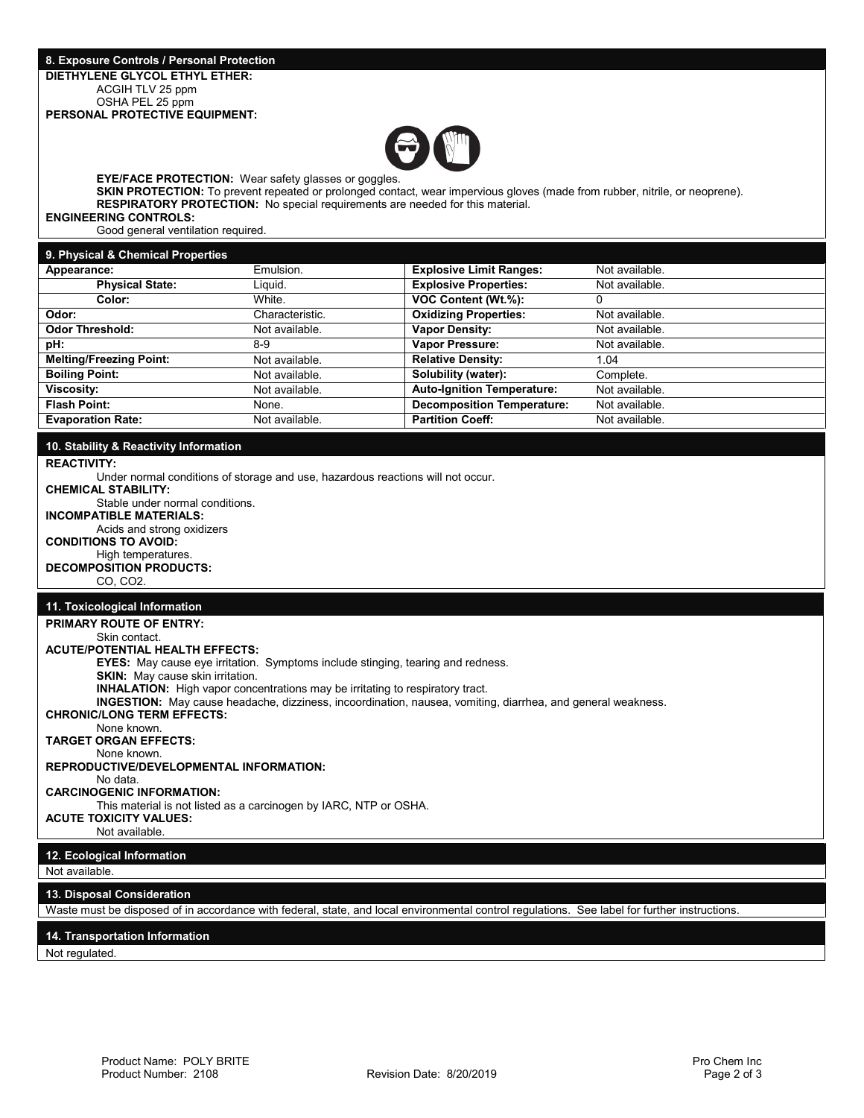#### **8. Exposure Controls / Personal Protection DIETHYLENE GLYCOL ETHYL ETHER:** ACGIH TLV 25 ppm OSHA PEL 25 ppm **PERSONAL PROTECTIVE EQUIPMENT:**



**EYE/FACE PROTECTION:** Wear safety glasses or goggles.

**SKIN PROTECTION:** To prevent repeated or prolonged contact, wear impervious gloves (made from rubber, nitrile, or neoprene). **RESPIRATORY PROTECTION:** No special requirements are needed for this material.

**ENGINEERING CONTROLS:**

Good general ventilation required.

| 9. Physical & Chemical Properties |                 |                                   |                |
|-----------------------------------|-----------------|-----------------------------------|----------------|
| Appearance:                       | Emulsion.       | <b>Explosive Limit Ranges:</b>    | Not available. |
| <b>Physical State:</b>            | Liguid.         | <b>Explosive Properties:</b>      | Not available. |
| Color:                            | White.          | VOC Content (Wt.%):               | 0              |
| Odor:                             | Characteristic. | <b>Oxidizing Properties:</b>      | Not available. |
| <b>Odor Threshold:</b>            | Not available.  | <b>Vapor Density:</b>             | Not available. |
| pH:                               | $8-9$           | <b>Vapor Pressure:</b>            | Not available. |
| <b>Melting/Freezing Point:</b>    | Not available.  | <b>Relative Density:</b>          | 1.04           |
| <b>Boiling Point:</b>             | Not available.  | Solubility (water):               | Complete.      |
| Viscosity:                        | Not available.  | <b>Auto-Ignition Temperature:</b> | Not available. |
| <b>Flash Point:</b>               | None.           | <b>Decomposition Temperature:</b> | Not available. |
| <b>Evaporation Rate:</b>          | Not available.  | <b>Partition Coeff:</b>           | Not available. |

## **10. Stability & Reactivity Information**

**REACTIVITY:**

Under normal conditions of storage and use, hazardous reactions will not occur.

**CHEMICAL STABILITY:**  Stable under normal conditions. **INCOMPATIBLE MATERIALS:**

Acids and strong oxidizers

**CONDITIONS TO AVOID:** 

High temperatures. **DECOMPOSITION PRODUCTS:**

CO, CO2.

# **11. Toxicological Information**

| <b>PRIMARY ROUTE OF ENTRY:</b>                                                                                                                |  |  |  |
|-----------------------------------------------------------------------------------------------------------------------------------------------|--|--|--|
| Skin contact.                                                                                                                                 |  |  |  |
| <b>ACUTE/POTENTIAL HEALTH EFFECTS:</b>                                                                                                        |  |  |  |
| <b>EYES:</b> May cause eye irritation. Symptoms include stinging, tearing and redness.                                                        |  |  |  |
| <b>SKIN:</b> May cause skin irritation.                                                                                                       |  |  |  |
| <b>INHALATION:</b> High vapor concentrations may be irritating to respiratory tract.                                                          |  |  |  |
| <b>INGESTION:</b> May cause headache, dizziness, incoordination, nausea, vomiting, diarrhea, and general weakness.                            |  |  |  |
| <b>CHRONIC/LONG TERM EFFECTS:</b>                                                                                                             |  |  |  |
| None known.                                                                                                                                   |  |  |  |
| <b>TARGET ORGAN EFFECTS:</b>                                                                                                                  |  |  |  |
| None known.                                                                                                                                   |  |  |  |
| REPRODUCTIVE/DEVELOPMENTAL INFORMATION:                                                                                                       |  |  |  |
| No data.                                                                                                                                      |  |  |  |
| <b>CARCINOGENIC INFORMATION:</b>                                                                                                              |  |  |  |
| This material is not listed as a carcinogen by IARC, NTP or OSHA.                                                                             |  |  |  |
| <b>ACUTE TOXICITY VALUES:</b>                                                                                                                 |  |  |  |
| Not available.                                                                                                                                |  |  |  |
|                                                                                                                                               |  |  |  |
| 12. Ecological Information                                                                                                                    |  |  |  |
| Not available.                                                                                                                                |  |  |  |
| 13. Disposal Consideration                                                                                                                    |  |  |  |
| Waste must be disposed of in accordance with federal, state, and local environmental control regulations. See label for further instructions. |  |  |  |
|                                                                                                                                               |  |  |  |

# **14. Transportation Information**

Not regulated.